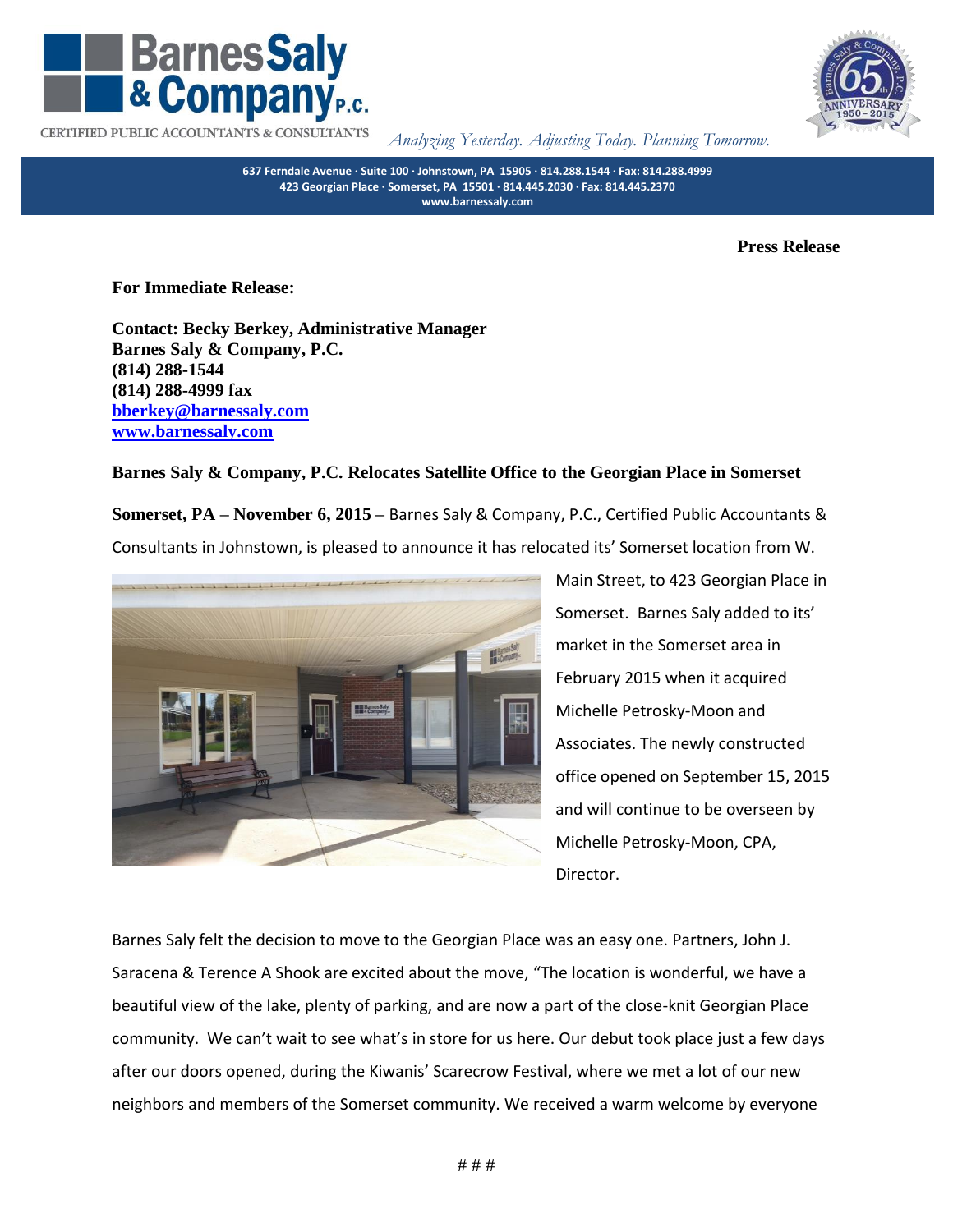





*Analyzing Yesterday. Adjusting Today. Planning Tomorrow.*

**637 Ferndale Avenue ∙ Suite 100 ∙ Johnstown, PA 15905 ∙ 814.288.1544 ∙ Fax: 814.288.4999 423 Georgian Place ∙ Somerset, PA 15501 ∙ 814.445.2030 ∙ Fax: 814.445.2370 www.barnessaly.com**

**Press Release** 

**For Immediate Release:** 

**Contact: Becky Berkey, Administrative Manager Barnes Saly & Company, P.C. (814) 288-1544 (814) 288-4999 fax [bberkey@barnessaly.com](../../../../AppData/Local/Microsoft/Windows/Temporary%20Internet%20Files/Content.Outlook/2012/bberkey@barnessaly.com) [www.barnessaly.com](../../../../AppData/Local/Microsoft/Windows/Temporary%20Internet%20Files/Content.Outlook/2012/www.barnessaly.com)**

## **Barnes Saly & Company, P.C. Relocates Satellite Office to the Georgian Place in Somerset**

**Somerset, PA – November 6, 2015 –** Barnes Saly & Company, P.C., Certified Public Accountants & Consultants in Johnstown, is pleased to announce it has relocated its' Somerset location from W.



Main Street, to 423 Georgian Place in Somerset. Barnes Saly added to its' market in the Somerset area in February 2015 when it acquired Michelle Petrosky-Moon and Associates. The newly constructed office opened on September 15, 2015 and will continue to be overseen by Michelle Petrosky-Moon, CPA, Director.

Barnes Saly felt the decision to move to the Georgian Place was an easy one. Partners, John J. Saracena & Terence A Shook are excited about the move, "The location is wonderful, we have a beautiful view of the lake, plenty of parking, and are now a part of the close-knit Georgian Place community. We can't wait to see what's in store for us here. Our debut took place just a few days after our doors opened, during the Kiwanis' Scarecrow Festival, where we met a lot of our new neighbors and members of the Somerset community. We received a warm welcome by everyone